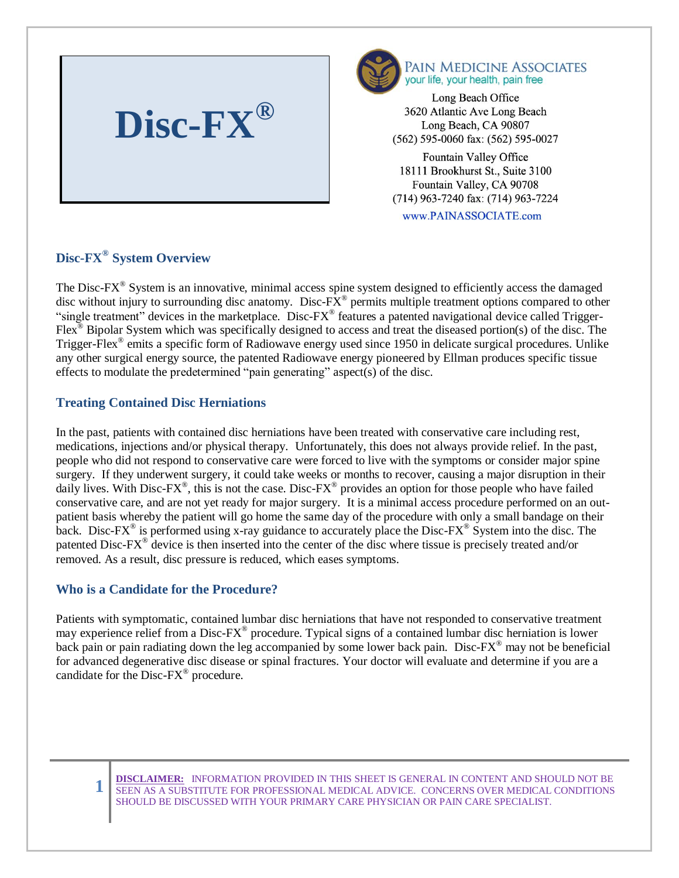



Long Beach Office 3620 Atlantic Ave Long Beach Long Beach, CA 90807 (562) 595-0060 fax: (562) 595-0027

Fountain Valley Office  $1$  Prookhurgt  $S_t$ .  $D_{\text{L}}$ Fountain Valley, CA 90708 (714) 963-7240 fax: (714) 963-7224

www.PAINASSOCIATE.com

# **Disc-FX® System Overview**

The Disc- $FX^{\circ}$  System is an innovative, minimal access spine system designed to efficiently access the damaged disc without injury to surrounding disc anatomy. Disc- $\overline{FX}^{\circledast}$  permits multiple treatment options compared to other "single treatment" devices in the marketplace. Disc-FX® features a patented navigational device called Trigger-Flex<sup>®</sup> Bipolar System which was specifically designed to access and treat the diseased portion(s) of the disc. The Trigger-Flex<sup>®</sup> emits a specific form of Radiowave energy used since 1950 in delicate surgical procedures. Unlike any other surgical energy source, the patented Radiowave energy pioneered by Ellman produces specific tissue effects to modulate the predetermined "pain generating" aspect(s) of the disc.

## **Treating Contained Disc Herniations**

In the past, patients with contained disc herniations have been treated with conservative care including rest, medications, injections and/or physical therapy. Unfortunately, this does not always provide relief. In the past, people who did not respond to conservative care were forced to live with the symptoms or consider major spine surgery. If they underwent surgery, it could take weeks or months to recover, causing a major disruption in their daily lives. With Disc-FX<sup>®</sup>, this is not the case. Disc-FX<sup>®</sup> provides an option for those people who have failed conservative care, and are not yet ready for major surgery. It is a minimal access procedure performed on an outpatient basis whereby the patient will go home the same day of the procedure with only a small bandage on their back. Disc-FX<sup>®</sup> is performed using x-ray guidance to accurately place the Disc-FX<sup>®</sup> System into the disc. The patented Disc-FX<sup>®</sup> device is then inserted into the center of the disc where tissue is precisely treated and/or removed. As a result, disc pressure is reduced, which eases symptoms.

### **Who is a Candidate for the Procedure?**

**1**

Patients with symptomatic, contained lumbar disc herniations that have not responded to conservative treatment may experience relief from a Disc-FX<sup>®</sup> procedure. Typical signs of a contained lumbar disc herniation is lower back pain or pain radiating down the leg accompanied by some lower back pain. Disc-FX<sup>®</sup> may not be beneficial for advanced degenerative disc disease or spinal fractures. Your doctor will evaluate and determine if you are a candidate for the Disc-FX® procedure.

**DISCLAIMER:** INFORMATION PROVIDED IN THIS SHEET IS GENERAL IN CONTENT AND SHOULD NOT BE SEEN AS A SUBSTITUTE FOR PROFESSIONAL MEDICAL ADVICE. CONCERNS OVER MEDICAL CONDITIONS SHOULD BE DISCUSSED WITH YOUR PRIMARY CARE PHYSICIAN OR PAIN CARE SPECIALIST.